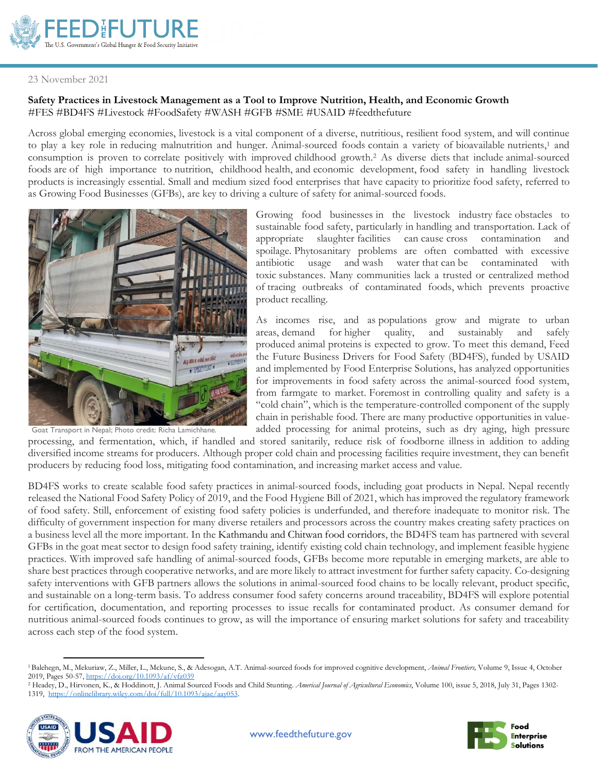

## 23 November 2021

## **Safety Practices in Livestock Management as a Tool to Improve Nutrition, Health, and Economic Growth** #FES #BD4FS #Livestock #FoodSafety #WASH #GFB #SME #USAID #feedthefuture

Across global emerging economies, livestock is a vital component of a diverse, nutritious, resilient food system, and will continue to play a key role in reducing malnutrition and hunger. Animal-sourced foods contain a variety of bioavailable nutrients, <sup>1</sup> and consumption is proven to correlate positively with improved childhood growth. <sup>2</sup> As diverse diets that include animal-sourced foods are of high importance to nutrition, childhood health, and economic development, food safety in handling livestock products is increasingly essential. Small and medium sized food enterprises that have capacity to prioritize food safety, referred to as Growing Food Businesses (GFBs), are key to driving a culture of safety for animal-sourced foods.



Goat Transport in Nepal; Photo credit: Richa Lamichhane.

Growing food businesses in the livestock industry face obstacles to sustainable food safety, particularly in handling and transportation. Lack of appropriate slaughter facilities can cause cross contamination and spoilage. Phytosanitary problems are often combatted with excessive antibiotic usage and wash water that can be contaminated with toxic substances. Many communities lack a trusted or centralized method of tracing outbreaks of contaminated foods, which prevents proactive product recalling.

As incomes rise, and as populations grow and migrate to urban areas, demand for higher quality, and sustainably and safely produced animal proteins is expected to grow. To meet this demand, Feed the Future Business Drivers for Food Safety (BD4FS), funded by USAID and implemented by Food Enterprise Solutions, has analyzed opportunities for improvements in food safety across the animal-sourced food system, from farmgate to market. Foremost in controlling quality and safety is a "cold chain", which is the temperature-controlled component of the supply chain in perishable food. There are many productive opportunities in valueadded processing for animal proteins, such as dry aging, high pressure

processing, and fermentation, which, if handled and stored sanitarily, reduce risk of foodborne illness in addition to adding diversified income streams for producers. Although proper cold chain and processing facilities require investment, they can benefit producers by reducing food loss, mitigating food contamination, and increasing market access and value.

BD4FS works to create scalable food safety practices in animal-sourced foods, including goat products in Nepal. Nepal recently released the National Food Safety Policy of 2019, and the Food Hygiene Bill of 2021, which has improved the regulatory framework of food safety. Still, enforcement of existing food safety policies is underfunded, and therefore inadequate to monitor risk. The difficulty of government inspection for many diverse retailers and processors across the country makes creating safety practices on a business level all the more important. In the Kathmandu and Chitwan food corridors, the BD4FS team has partnered with several GFBs in the goat meat sector to design food safety training, identify existing cold chain technology, and implement feasible hygiene practices. With improved safe handling of animal-sourced foods, GFBs become more reputable in emerging markets, are able to share best practices through cooperative networks, and are more likely to attract investment for further safety capacity. Co-designing safety interventions with GFB partners allows the solutions in animal-sourced food chains to be locally relevant, product specific, and sustainable on a long-term basis. To address consumer food safety concerns around traceability, BD4FS will explore potential for certification, documentation, and reporting processes to issue recalls for contaminated product. As consumer demand for nutritious animal-sourced foods continues to grow, as will the importance of ensuring market solutions for safety and traceability across each step of the food system.

<sup>&</sup>lt;sup>2</sup> Headey, D., Hirvonen, K., & Hoddinott, J. Animal Sourced Foods and Child Stunting. *Americal Journal of Agricultural Economics*, Volume 100, issue 5, 2018, July 31, Pages 1302-1319, [https://onlinelibrary.wiley.com/doi/full/10.1093/ajae/aay053.](https://onlinelibrary.wiley.com/doi/full/10.1093/ajae/aay053)





<sup>1</sup>Balehegn, M., Mekuriaw, Z., Miller, L., Mckune, S., & Adesogan, A.T. Animal-sourced foods for improved cognitive development, *Animal Frontiers,* Volume 9, Issue 4, October 2019, Pages 50-57[, https://doi.org/10.1093/af/vfz039](https://doi.org/10.1093/af/vfz039)